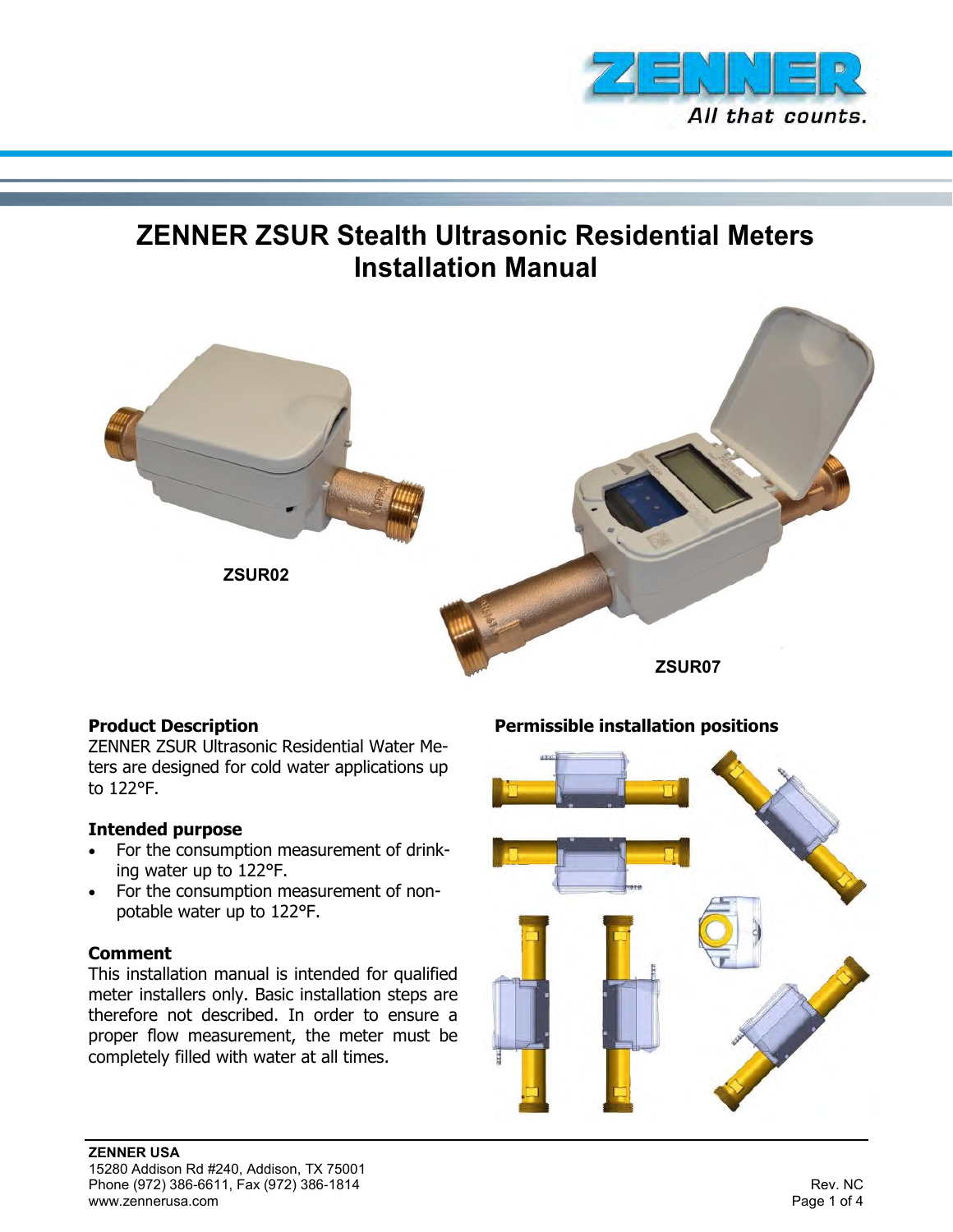

# **ZENNER ZSUR Stealth Ultrasonic Residential Meters Installation Manual**



## **Product Description**

ZENNER ZSUR Ultrasonic Residential Water Meters are designed for cold water applications up to 122°F.

#### **Intended purpose**

- For the consumption measurement of drinking water up to 122°F.
- For the consumption measurement of nonpotable water up to 122°F.

#### **Comment**

This installation manual is intended for qualified meter installers only. Basic installation steps are therefore not described. In order to ensure a proper flow measurement, the meter must be completely filled with water at all times.

## **Permissible installation positions**

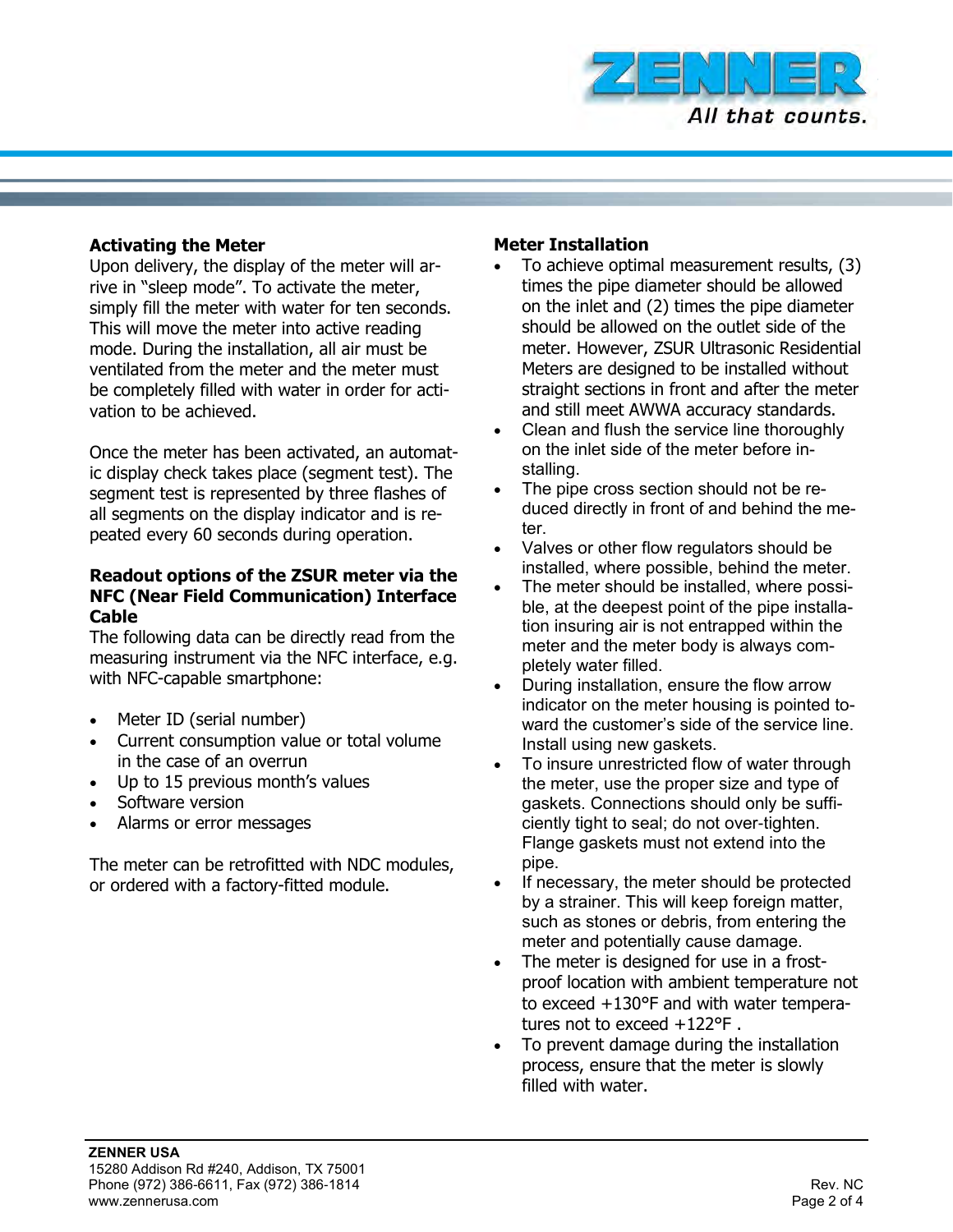

#### **Activating the Meter**

Upon delivery, the display of the meter will arrive in "sleep mode". To activate the meter, simply fill the meter with water for ten seconds. This will move the meter into active reading mode. During the installation, all air must be ventilated from the meter and the meter must be completely filled with water in order for activation to be achieved.

Once the meter has been activated, an automatic display check takes place (segment test). The segment test is represented by three flashes of all segments on the display indicator and is repeated every 60 seconds during operation.

#### **Readout options of the ZSUR meter via the NFC (Near Field Communication) Interface Cable**

The following data can be directly read from the measuring instrument via the NFC interface, e.g. with NFC-capable smartphone:

- Meter ID (serial number)
- Current consumption value or total volume in the case of an overrun
- Up to 15 previous month's values
- Software version
- Alarms or error messages

The meter can be retrofitted with NDC modules, or ordered with a factory-fitted module.

## **Meter Installation**

- To achieve optimal measurement results, (3) times the pipe diameter should be allowed on the inlet and (2) times the pipe diameter should be allowed on the outlet side of the meter. However, ZSUR Ultrasonic Residential Meters are designed to be installed without straight sections in front and after the meter and still meet AWWA accuracy standards.
- Clean and flush the service line thoroughly on the inlet side of the meter before installing.
- The pipe cross section should not be reduced directly in front of and behind the meter.
- Valves or other flow regulators should be installed, where possible, behind the meter.
- The meter should be installed, where possible, at the deepest point of the pipe installation insuring air is not entrapped within the meter and the meter body is always completely water filled.
- During installation, ensure the flow arrow indicator on the meter housing is pointed toward the customer's side of the service line. Install using new gaskets.
- To insure unrestricted flow of water through the meter, use the proper size and type of gaskets. Connections should only be sufficiently tight to seal; do not over-tighten. Flange gaskets must not extend into the pipe.
- If necessary, the meter should be protected by a strainer. This will keep foreign matter, such as stones or debris, from entering the meter and potentially cause damage.
- The meter is designed for use in a frostproof location with ambient temperature not to exceed +130°F and with water temperatures not to exceed +122°F .
- To prevent damage during the installation process, ensure that the meter is slowly filled with water.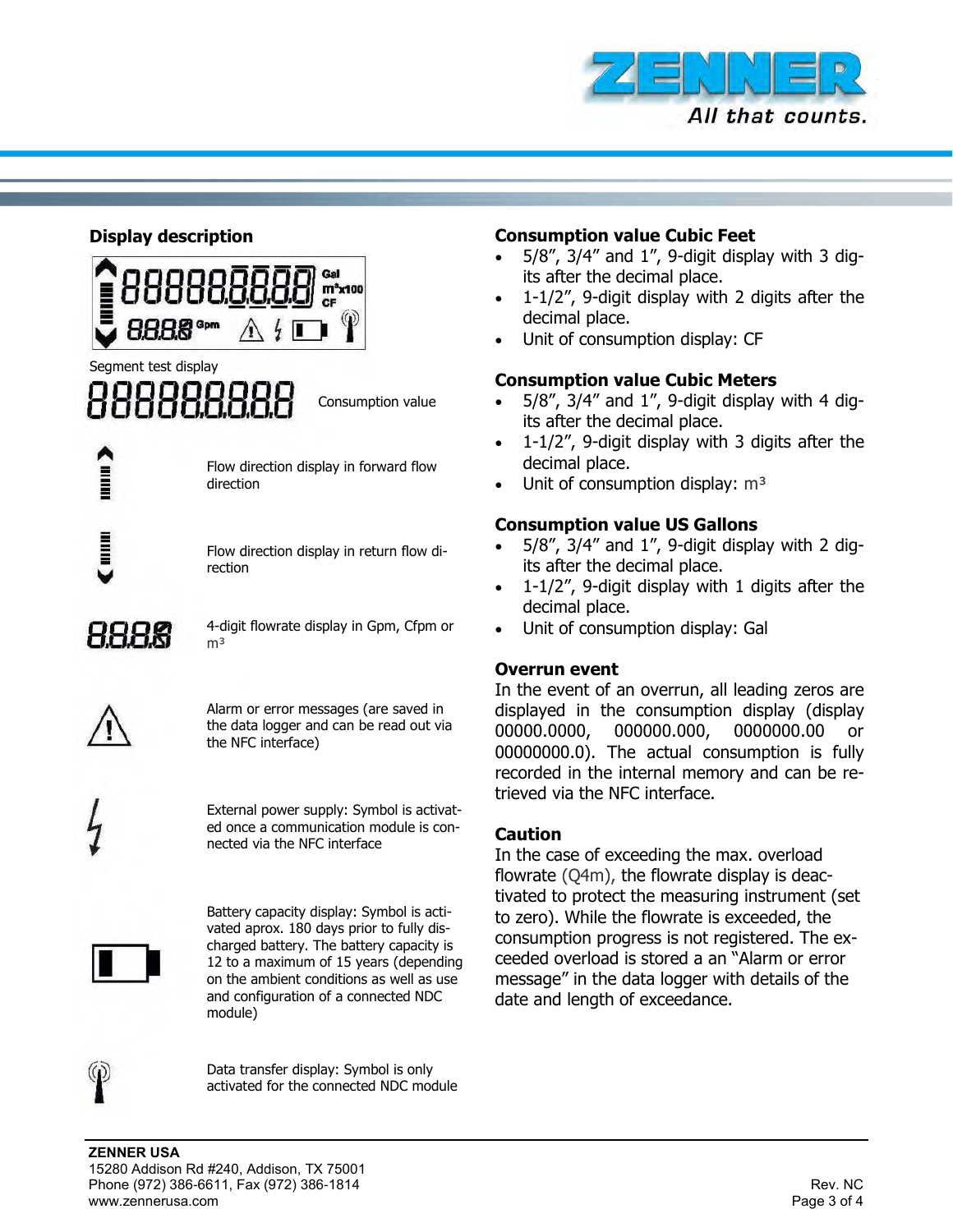

## **Display description**



## Segment test display

Consumption value

Flow direction display in forward flow direction

Flow direction display in return flow direction

8888

4-digit flowrate display in Gpm, Cfpm or m<sup>3</sup>



Alarm or error messages (are saved in the data logger and can be read out via the NFC interface)

External power supply: Symbol is activated once a communication module is connected via the NFC interface



Battery capacity display: Symbol is activated aprox. 180 days prior to fully discharged battery. The battery capacity is 12 to a maximum of 15 years (depending on the ambient conditions as well as use and configuration of a connected NDC module)



Data transfer display: Symbol is only activated for the connected NDC module

## **Consumption value Cubic Feet**

- $\bullet$  5/8", 3/4" and 1", 9-digit display with 3 digits after the decimal place.
- 1-1/2", 9-digit display with 2 digits after the decimal place.
- Unit of consumption display: CF

## **Consumption value Cubic Meters**

- 5/8", 3/4" and 1", 9-digit display with 4 digits after the decimal place.
- 1-1/2", 9-digit display with 3 digits after the decimal place.
- Unit of consumption display:  $m<sup>3</sup>$

## **Consumption value US Gallons**

- 5/8", 3/4" and 1", 9-digit display with 2 digits after the decimal place.
- 1-1/2", 9-digit display with 1 digits after the decimal place.
- Unit of consumption display: Gal

## **Overrun event**

In the event of an overrun, all leading zeros are displayed in the consumption display (display 00000.0000, 000000.000, 0000000.00 or 00000000.0). The actual consumption is fully recorded in the internal memory and can be retrieved via the NFC interface.

## **Caution**

In the case of exceeding the max. overload flowrate (Q4m), the flowrate display is deactivated to protect the measuring instrument (set to zero). While the flowrate is exceeded, the consumption progress is not registered. The exceeded overload is stored a an "Alarm or error message" in the data logger with details of the date and length of exceedance.